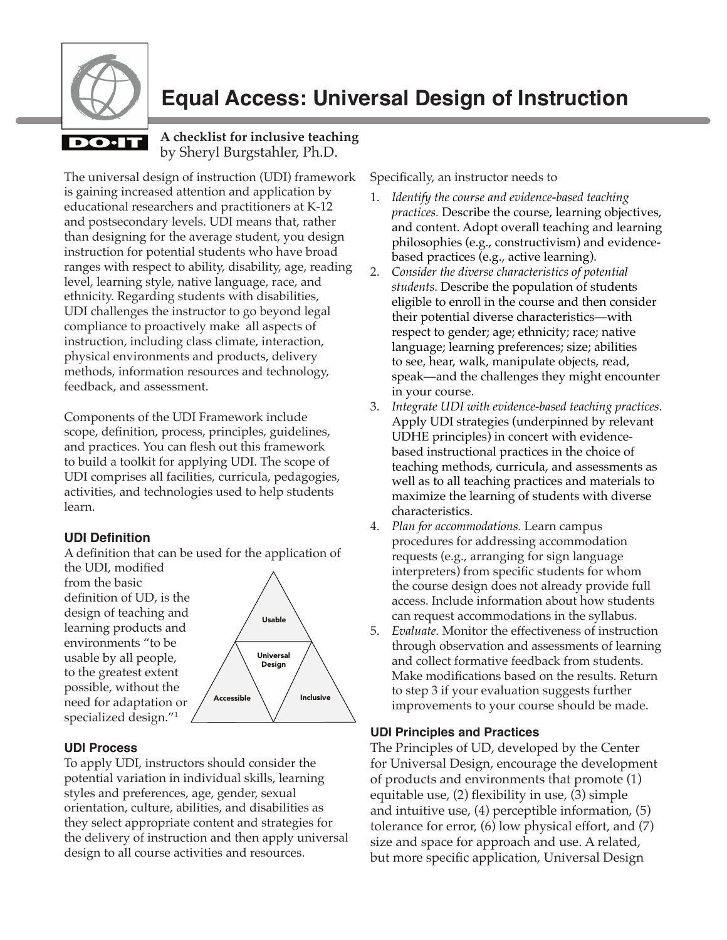

# **Equal Access: Universal Design of Instruction**

#### **A checklist for inclusive teaching** by Sheryl Burgstahler, Ph.D.

The universal design of instruction (UDI) framework is gaining increased attention and application by educational researchers and practitioners at K-12 and postsecondary levels. UDI means that, rather than designing for the average student, you design instruction for potential students who have broad ranges with respect to ability, disability, age, reading level, learning style, native language, race, and ethnicity. Regarding students with disabilities, UDI challenges the instructor to go beyond legal compliance to proactively make all aspects of instruction, including class climate, interaction, physical environments and products, delivery methods, information resources and technology, feedback, and assessment.

Components of the UDI Framework include scope, definition, process, principles, guidelines, and practices. You can flesh out this framework to build a toolkit for applying UDI. The scope of UDI comprises all facilities, curricula, pedagogies, activities, and technologies used to help students learn.

### **UDI Definition**

A definition that can be used for the application of

the UDI, modified from the basic definition of UD, is the design of teaching and learning products and environments "to be usable by all people, to the greatest extent possible, without the need for adaptation or specialized design."1



#### **UDI Process**

To apply UDI, instructors should consider the potential variation in individual skills, learning styles and preferences, age, gender, sexual orientation, culture, abilities, and disabilities as they select appropriate content and strategies for the delivery of instruction and then apply universal design to all course activities and resources.

Specifically, an instructor needs to

- 1. *Identify the course and evidence-based teaching practices.* Describe the course, learning objectives, and content. Adopt overall teaching and learning philosophies (e.g., constructivism) and evidencebased practices (e.g., active learning).
- 2. *Consider the diverse characteristics of potential students.* Describe the population of students eligible to enroll in the course and then consider their potential diverse characteristics—with respect to gender; age; ethnicity; race; native language; learning preferences; size; abilities to see, hear, walk, manipulate objects, read, speak—and the challenges they might encounter in your course.
- 3. *Integrate UDI with evidence-based teaching practices.*  Apply UDI strategies (underpinned by relevant UDHE principles) in concert with evidencebased instructional practices in the choice of teaching methods, curricula, and assessments as well as to all teaching practices and materials to maximize the learning of students with diverse characteristics.
- 4. *Plan for accommodations.* Learn campus procedures for addressing accommodation requests (e.g., arranging for sign language interpreters) from specific students for whom the course design does not already provide full access. Include information about how students can request accommodations in the syllabus.
- 5. *Evaluate.* Monitor the effectiveness of instruction through observation and assessments of learning and collect formative feedback from students. Make modifications based on the results. Return to step 3 if your evaluation suggests further improvements to your course should be made.

#### **UDI Principles and Practices**

The Principles of UD, developed by the Center for Universal Design, encourage the development of products and environments that promote (1) equitable use, (2) flexibility in use, (3) simple and intuitive use, (4) perceptible information, (5) tolerance for error, (6) low physical effort, and (7) size and space for approach and use. A related, but more specific application, Universal Design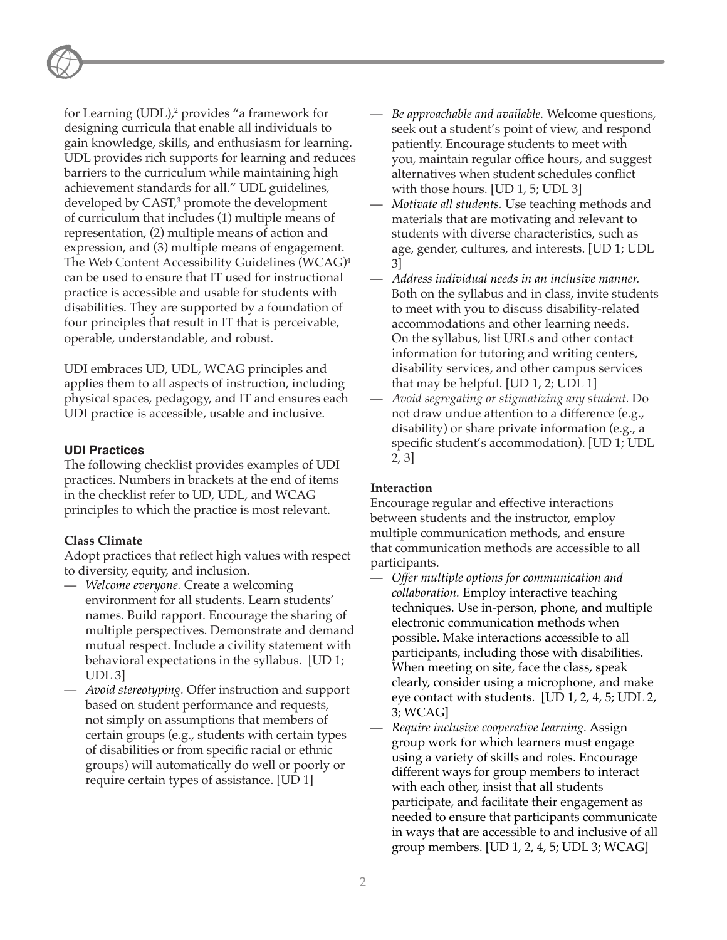for Learning (UDL),2 provides "a framework for designing curricula that enable all individuals to gain knowledge, skills, and enthusiasm for learning. UDL provides rich supports for learning and reduces barriers to the curriculum while maintaining high achievement standards for all." UDL guidelines, developed by CAST,3 promote the development of curriculum that includes (1) multiple means of representation, (2) multiple means of action and expression, and (3) multiple means of engagement. The Web Content Accessibility Guidelines (WCAG)4 can be used to ensure that IT used for instructional practice is accessible and usable for students with disabilities. They are supported by a foundation of four principles that result in IT that is perceivable, operable, understandable, and robust.

UDI embraces UD, UDL, WCAG principles and applies them to all aspects of instruction, including physical spaces, pedagogy, and IT and ensures each UDI practice is accessible, usable and inclusive.

#### **UDI Practices**

The following checklist provides examples of UDI practices. Numbers in brackets at the end of items in the checklist refer to UD, UDL, and WCAG principles to which the practice is most relevant.

#### **Class Climate**

Adopt practices that reflect high values with respect to diversity, equity, and inclusion.

- *Welcome everyone.* Create a welcoming environment for all students. Learn students' names. Build rapport. Encourage the sharing of multiple perspectives. Demonstrate and demand mutual respect. Include a civility statement with behavioral expectations in the syllabus. [UD 1; UDL 3]
- *Avoid stereotyping.* Offer instruction and support based on student performance and requests, not simply on assumptions that members of certain groups (e.g., students with certain types of disabilities or from specific racial or ethnic groups) will automatically do well or poorly or require certain types of assistance. [UD 1]
- *Be approachable and available.* Welcome questions, seek out a student's point of view, and respond patiently. Encourage students to meet with you, maintain regular office hours, and suggest alternatives when student schedules conflict with those hours. [UD 1, 5; UDL 3]
- *Motivate all students.* Use teaching methods and materials that are motivating and relevant to students with diverse characteristics, such as age, gender, cultures, and interests. [UD 1; UDL 3]
- *Address individual needs in an inclusive manner.*  Both on the syllabus and in class, invite students to meet with you to discuss disability-related accommodations and other learning needs. On the syllabus, list URLs and other contact information for tutoring and writing centers, disability services, and other campus services that may be helpful. [UD 1, 2; UDL 1]
- *Avoid segregating or stigmatizing any student.* Do not draw undue attention to a difference (e.g., disability) or share private information (e.g., a specific student's accommodation). [UD 1; UDL 2, 3]

#### **Interaction**

Encourage regular and effective interactions between students and the instructor, employ multiple communication methods, and ensure that communication methods are accessible to all participants.

- *Offer multiple options for communication and collaboration.* Employ interactive teaching techniques. Use in-person, phone, and multiple electronic communication methods when possible. Make interactions accessible to all participants, including those with disabilities. When meeting on site, face the class, speak clearly, consider using a microphone, and make eye contact with students. [UD 1, 2, 4, 5; UDL 2, 3; WCAG]
- *Require inclusive cooperative learning.* Assign group work for which learners must engage using a variety of skills and roles. Encourage different ways for group members to interact with each other, insist that all students participate, and facilitate their engagement as needed to ensure that participants communicate in ways that are accessible to and inclusive of all group members. [UD 1, 2, 4, 5; UDL 3; WCAG]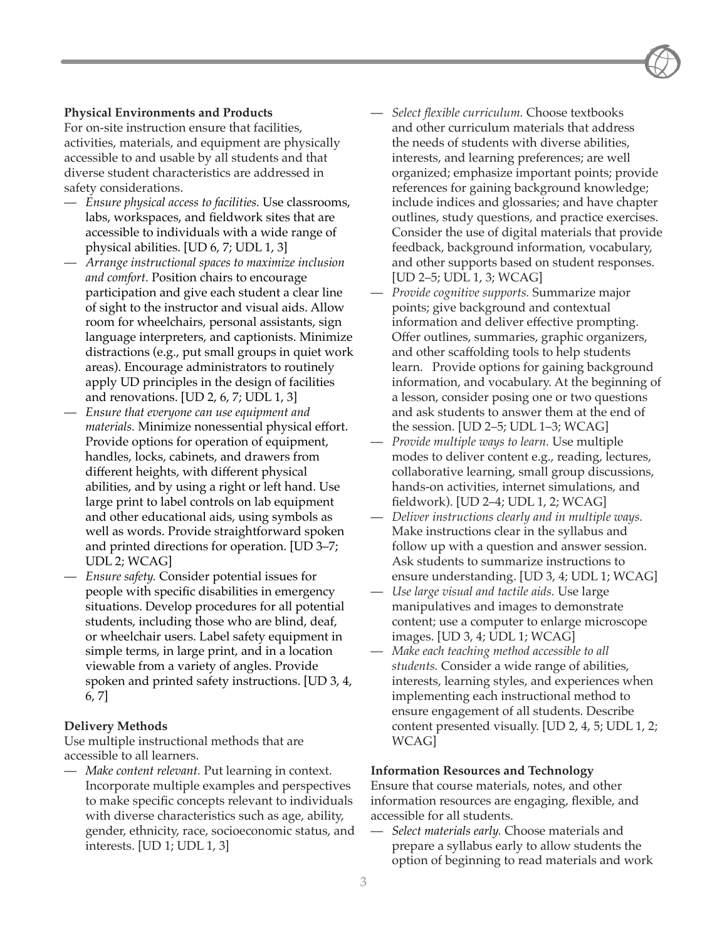#### **Physical Environments and Products**

For on-site instruction ensure that facilities, activities, materials, and equipment are physically accessible to and usable by all students and that diverse student characteristics are addressed in safety considerations.

- *Ensure physical access to facilities.* Use classrooms, labs, workspaces, and fieldwork sites that are accessible to individuals with a wide range of physical abilities. [UD 6, 7; UDL 1, 3]
- *Arrange instructional spaces to maximize inclusion and comfort.* Position chairs to encourage participation and give each student a clear line of sight to the instructor and visual aids. Allow room for wheelchairs, personal assistants, sign language interpreters, and captionists. Minimize distractions (e.g., put small groups in quiet work areas). Encourage administrators to routinely apply UD principles in the design of facilities and renovations. [UD 2, 6, 7; UDL 1, 3]
- *Ensure that everyone can use equipment and materials.* Minimize nonessential physical effort. Provide options for operation of equipment, handles, locks, cabinets, and drawers from different heights, with different physical abilities, and by using a right or left hand. Use large print to label controls on lab equipment and other educational aids, using symbols as well as words. Provide straightforward spoken and printed directions for operation. [UD 3–7; UDL 2; WCAG]
- *Ensure safety.* Consider potential issues for people with specific disabilities in emergency situations. Develop procedures for all potential students, including those who are blind, deaf, or wheelchair users. Label safety equipment in simple terms, in large print, and in a location viewable from a variety of angles. Provide spoken and printed safety instructions. [UD 3, 4, 6, 7]

#### **Delivery Methods**

Use multiple instructional methods that are accessible to all learners.

— *Make content relevant.* Put learning in context. Incorporate multiple examples and perspectives to make specific concepts relevant to individuals with diverse characteristics such as age, ability, gender, ethnicity, race, socioeconomic status, and interests. [UD 1; UDL 1, 3]

- *Select flexible curriculum.* Choose textbooks and other curriculum materials that address the needs of students with diverse abilities, interests, and learning preferences; are well organized; emphasize important points; provide references for gaining background knowledge; include indices and glossaries; and have chapter outlines, study questions, and practice exercises. Consider the use of digital materials that provide feedback, background information, vocabulary, and other supports based on student responses. [UD 2–5; UDL 1, 3; WCAG]
- *Provide cognitive supports.* Summarize major points; give background and contextual information and deliver effective prompting. Offer outlines, summaries, graphic organizers, and other scaffolding tools to help students learn. Provide options for gaining background information, and vocabulary. At the beginning of a lesson, consider posing one or two questions and ask students to answer them at the end of the session. [UD 2–5; UDL 1–3; WCAG]
- *Provide multiple ways to learn.* Use multiple modes to deliver content e.g., reading, lectures, collaborative learning, small group discussions, hands-on activities, internet simulations, and fieldwork). [UD 2–4; UDL 1, 2; WCAG]
- *Deliver instructions clearly and in multiple ways.* Make instructions clear in the syllabus and follow up with a question and answer session. Ask students to summarize instructions to ensure understanding. [UD 3, 4; UDL 1; WCAG]
- *Use large visual and tactile aids.* Use large manipulatives and images to demonstrate content; use a computer to enlarge microscope images. [UD 3, 4; UDL 1; WCAG]
- *Make each teaching method accessible to all students.* Consider a wide range of abilities, interests, learning styles, and experiences when implementing each instructional method to ensure engagement of all students. Describe content presented visually. [UD 2, 4, 5; UDL 1, 2; WCAG]

#### **Information Resources and Technology**

Ensure that course materials, notes, and other information resources are engaging, flexible, and accessible for all students.

— *Select materials early.* Choose materials and prepare a syllabus early to allow students the option of beginning to read materials and work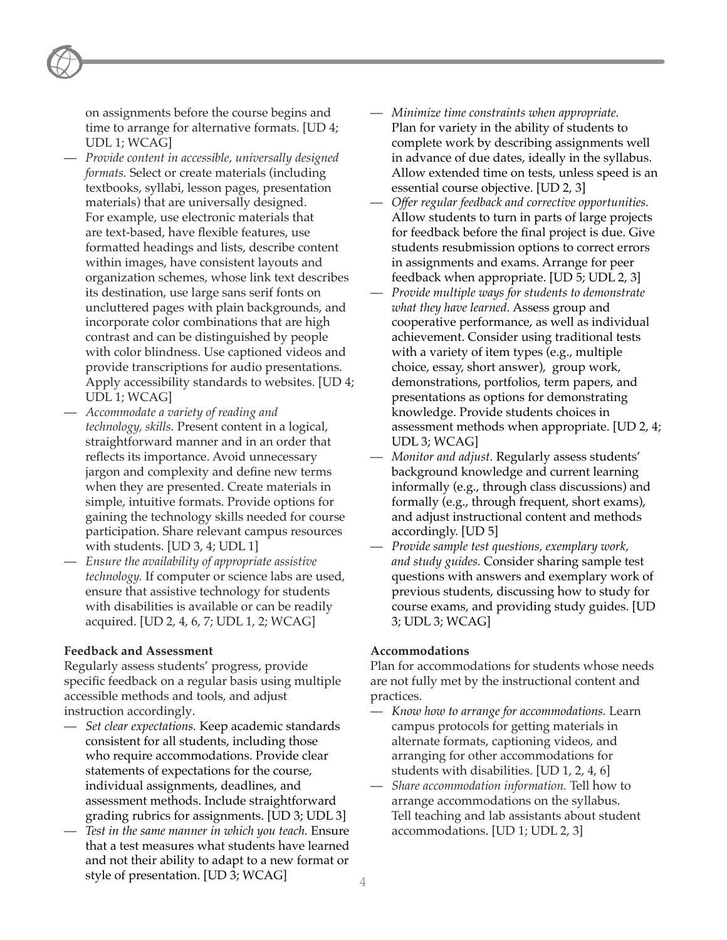on assignments before the course begins and time to arrange for alternative formats. [UD 4; UDL 1; WCAG]

- *Provide content in accessible, universally designed formats.* Select or create materials (including textbooks, syllabi, lesson pages, presentation materials) that are universally designed. For example, use electronic materials that are text-based, have flexible features, use formatted headings and lists, describe content within images, have consistent layouts and organization schemes, whose link text describes its destination, use large sans serif fonts on uncluttered pages with plain backgrounds, and incorporate color combinations that are high contrast and can be distinguished by people with color blindness. Use captioned videos and provide transcriptions for audio presentations. Apply accessibility standards to websites. [UD 4; UDL 1; WCAG]
- *Accommodate a variety of reading and technology, skills.* Present content in a logical, straightforward manner and in an order that reflects its importance. Avoid unnecessary jargon and complexity and define new terms when they are presented. Create materials in simple, intuitive formats. Provide options for gaining the technology skills needed for course participation. Share relevant campus resources with students. [UD 3, 4; UDL 1]
- *Ensure the availability of appropriate assistive technology.* If computer or science labs are used, ensure that assistive technology for students with disabilities is available or can be readily acquired. [UD 2, 4, 6, 7; UDL 1, 2; WCAG]

#### **Feedback and Assessment**

Regularly assess students' progress, provide specific feedback on a regular basis using multiple accessible methods and tools, and adjust instruction accordingly.

- *Set clear expectations.* Keep academic standards consistent for all students, including those who require accommodations. Provide clear statements of expectations for the course, individual assignments, deadlines, and assessment methods. Include straightforward grading rubrics for assignments. [UD 3; UDL 3]
- *Test in the same manner in which you teach.* Ensure that a test measures what students have learned and not their ability to adapt to a new format or style of presentation. [UD 3; WCAG]
- *Minimize time constraints when appropriate.*  Plan for variety in the ability of students to complete work by describing assignments well in advance of due dates, ideally in the syllabus. Allow extended time on tests, unless speed is an essential course objective. [UD 2, 3]
- *Offer regular feedback and corrective opportunities.*  Allow students to turn in parts of large projects for feedback before the final project is due. Give students resubmission options to correct errors in assignments and exams. Arrange for peer feedback when appropriate. [UD 5; UDL 2, 3]
- *Provide multiple ways for students to demonstrate what they have learned.* Assess group and cooperative performance, as well as individual achievement. Consider using traditional tests with a variety of item types (e.g., multiple choice, essay, short answer), group work, demonstrations, portfolios, term papers, and presentations as options for demonstrating knowledge. Provide students choices in assessment methods when appropriate. [UD 2, 4; UDL 3; WCAG]
- *Monitor and adjust.* Regularly assess students' background knowledge and current learning informally (e.g., through class discussions) and formally (e.g., through frequent, short exams), and adjust instructional content and methods accordingly. [UD 5]
- *Provide sample test questions, exemplary work, and study guides.* Consider sharing sample test questions with answers and exemplary work of previous students, discussing how to study for course exams, and providing study guides. [UD 3; UDL 3; WCAG]

#### **Accommodations**

Plan for accommodations for students whose needs are not fully met by the instructional content and practices.

- *Know how to arrange for accommodations.* Learn campus protocols for getting materials in alternate formats, captioning videos, and arranging for other accommodations for students with disabilities. [UD 1, 2, 4, 6]
- *Share accommodation information.* Tell how to arrange accommodations on the syllabus. Tell teaching and lab assistants about student accommodations. [UD 1; UDL 2, 3]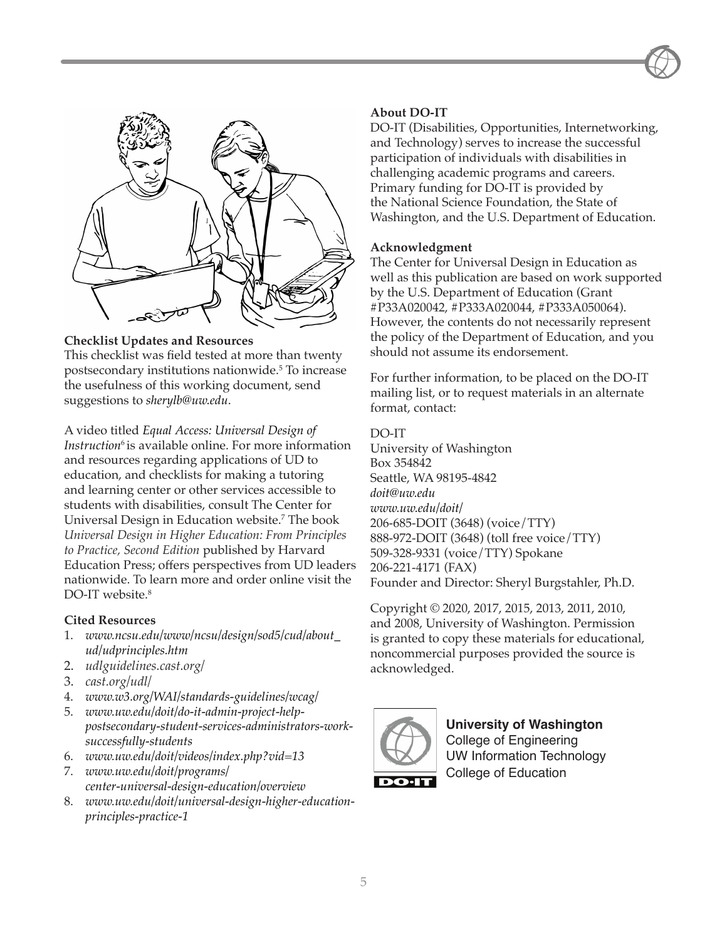



#### **Checklist Updates and Resources**

This checklist was field tested at more than twenty postsecondary institutions nationwide. 5 To increase the usefulness of this working document, send suggestions to *sherylb@uw.edu*.

### A video titled *Equal Access: Universal Design of*

*Instruction*<sup>6</sup> is available online. For more information and resources regarding applications of UD to education, and checklists for making a tutoring and learning center or other services accessible to students with disabilities, consult The Center for Universal Design in Education website. 7 The book *Universal Design in Higher Education: From Principles to Practice, Second Edition* published by Harvard Education Press; offers perspectives from UD leaders nationwide. To learn more and order online visit the DO-IT website. 8

#### **Cited Resources**

- 1. *www.ncsu.edu/www/ncsu/design/sod5/cud/about\_ ud/udprinciples.htm*
- 2. *udlguidelines.cast.org/*
- 3. *cast.org/udl/*
- 4. *www.w3.org/WAI/standards-guidelines/wcag/*
- 5. *www.uw.edu/doit/do-it-admin-project-helppostsecondary-student-services-administrators-worksuccessfully-students*
- 6. *www.uw.edu/doit/videos/index.php?vid=13*
- 7. *www.uw.edu/doit/programs/ center-universal-design-education/overview*
- 8. *www.uw.edu/doit/universal-design-higher-educationprinciples-practice-1*

#### **About DO-IT**

DO-IT (Disabilities, Opportunities, Internetworking, and Technology) serves to increase the successful participation of individuals with disabilities in challenging academic programs and careers. Primary funding for DO-IT is provided by the National Science Foundation, the State of Washington, and the U.S. Department of Education.

#### **Acknowledgment**

The Center for Universal Design in Education as well as this publication are based on work supported by the U.S. Department of Education (Grant #P33A020042, #P333A020044, #P333A050064). However, the contents do not necessarily represent the policy of the Department of Education, and you should not assume its endorsement.

For further information, to be placed on the DO-IT mailing list, or to request materials in an alternate format, contact:

#### DO-IT

University of Washington Box 354842 Seattle, WA 98195-4842 *doit@uw.edu www.uw.edu/doit/* 206-685-DOIT (3648) (voice/TTY) 888-972-DOIT (3648) (toll free voice/TTY) 509-328-9331 (voice/TTY) Spokane 206-221-4171 (FAX) Founder and Director: Sheryl Burgstahler, Ph.D.

Copyright © 2020, 2017, 2015, 2013, 2011, 2010, and 2008, University of Washington. Permission is granted to copy these materials for educational, noncommercial purposes provided the source is acknowledged.



**University of Washington** College of Engineering UW Information Technology College of Education